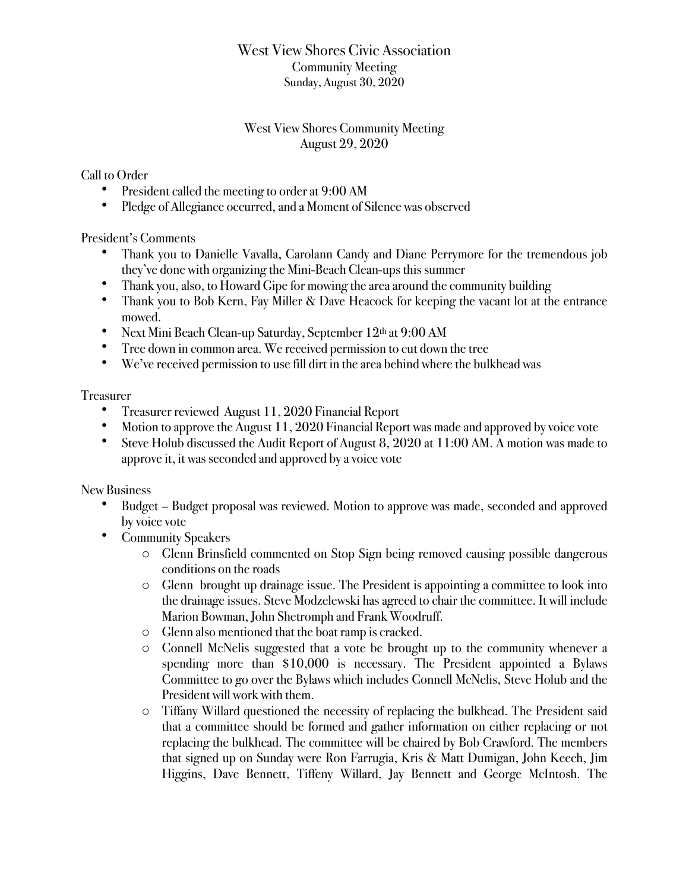## West View Shores Civic Association Community Meeting Sunday, August 30, 2020

## West View Shores Community Meeting August 29, 2020

Call to Order

- President called the meeting to order at 9:00 AM
- Pledge of Allegiance occurred, and a Moment of Silence was observed

President's Comments

- Thank you to Danielle Vavalla, Carolann Candy and Diane Perrymore for the tremendous job they've done with organizing the Mini-Beach Clean-ups this summer
- Thank you, also, to Howard Gipe for mowing the area around the community building
- Thank you to Bob Kern, Fay Miller & Dave Heacock for keeping the vacant lot at the entrance mowed.
- Next Mini Beach Clean-up Saturday, September 12th at 9:00 AM
- Tree down in common area. We received permission to cut down the tree
- We've received permission to use fill dirt in the area behind where the bulkhead was

Treasurer

- Treasurer reviewed August 11, 2020 Financial Report
- Motion to approve the August 11, 2020 Financial Report was made and approved by voice vote
- Steve Holub discussed the Audit Report of August 8, 2020 at 11:00 AM. A motion was made to approve it, it was seconded and approved by a voice vote

New Business

- Budget Budget proposal was reviewed. Motion to approve was made, seconded and approved by voice vote
- Community Speakers
	- o Glenn Brinsfield commented on Stop Sign being removed causing possible dangerous conditions on the roads
	- o Glenn brought up drainage issue. The President is appointing a committee to look into the drainage issues. Steve Modzelewski has agreed to chair the committee. It will include Marion Bowman, John Shetromph and Frank Woodruff.
	- o Glenn also mentioned that the boat ramp is cracked.
	- o Connell McNelis suggested that a vote be brought up to the community whenever a spending more than \$10,000 is necessary. The President appointed a Bylaws Committee to go over the Bylaws which includes Connell McNelis, Steve Holub and the President will work with them.
	- o Tiffany Willard questioned the necessity of replacing the bulkhead. The President said that a committee should be formed and gather information on either replacing or not replacing the bulkhead. The committee will be chaired by Bob Crawford. The members that signed up on Sunday were Ron Farrugia, Kris & Matt Dumigan, John Keech, Jim Higgins, Dave Bennett, Tiffeny Willard, Jay Bennett and George McIntosh. The